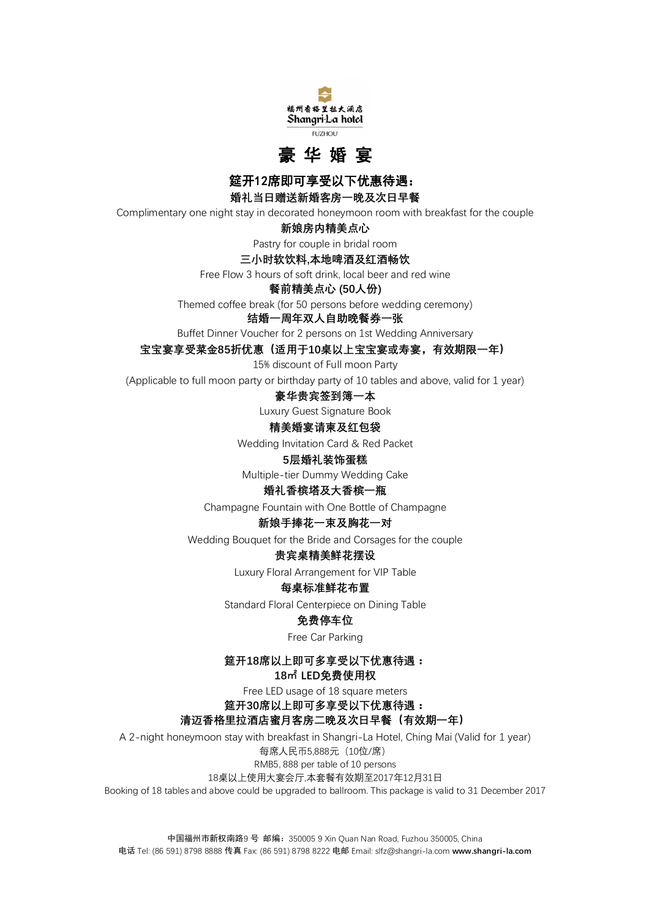



**筵开12席即可享受以下优惠待遇:** 

**婚礼当日赠送新婚客房一晚及次日早餐**

Complimentary one night stay in decorated honeymoon room with breakfast for the couple

**新娘房内精美点心**

Pastry for couple in bridal room

## **三小时软饮料,本地啤酒及红酒畅饮**

Free Flow 3 hours of soft drink, local beer and red wine

**餐前精美点心 (50人份)**

Themed coffee break (for 50 persons before wedding ceremony)

# **结婚一周年双人自助晚餐券一张**

Buffet Dinner Voucher for 2 persons on 1st Wedding Anniversary

**宝宝宴享受菜金85折优惠(适用于10桌以上宝宝宴或寿宴,有效期限一年)**

15% discount of Full moon Party

(Applicable to full moon party or birthday party of 10 tables and above, valid for 1 year)

## **豪华贵宾签到簿一本**

Luxury Guest Signature Book

## **精美婚宴请柬及红包袋**

Wedding Invitation Card & Red Packet

## **5层婚礼装饰蛋糕**

Multiple-tier Dummy Wedding Cake

## **婚礼香槟塔及大香槟一瓶**

Champagne Fountain with One Bottle of Champagne

## **新娘手捧花一束及胸花一对**

Wedding Bouquet for the Bride and Corsages for the couple

# **贵宾桌精美鲜花摆设**

Luxury Floral Arrangement for VIP Table

# **每桌标准鲜花布置**

Standard Floral Centerpiece on Dining Table

# **免费停车位**

Free Car Parking

# **筵开18席以上即可多享受以下优惠待遇:**

## **18㎡ LED免费使用权**

Free LED usage of 18 square meters

# **筵开30席以上即可多享受以下优惠待遇:**

# **清迈香格里拉酒店蜜月客房二晚及次日早餐(有效期一年)**

A 2-night honeymoon stay with breakfast in Shangri-La Hotel, Ching Mai (Valid for 1 year)

每席人民币5,888元(10位/席)

#### RMB5, 888 per table of 10 persons 18桌以上使用大宴会厅,本套餐有效期至2017年12月31日

Booking of 18 tables and above could be upgraded to ballroom. This package is valid to 31 December 2017